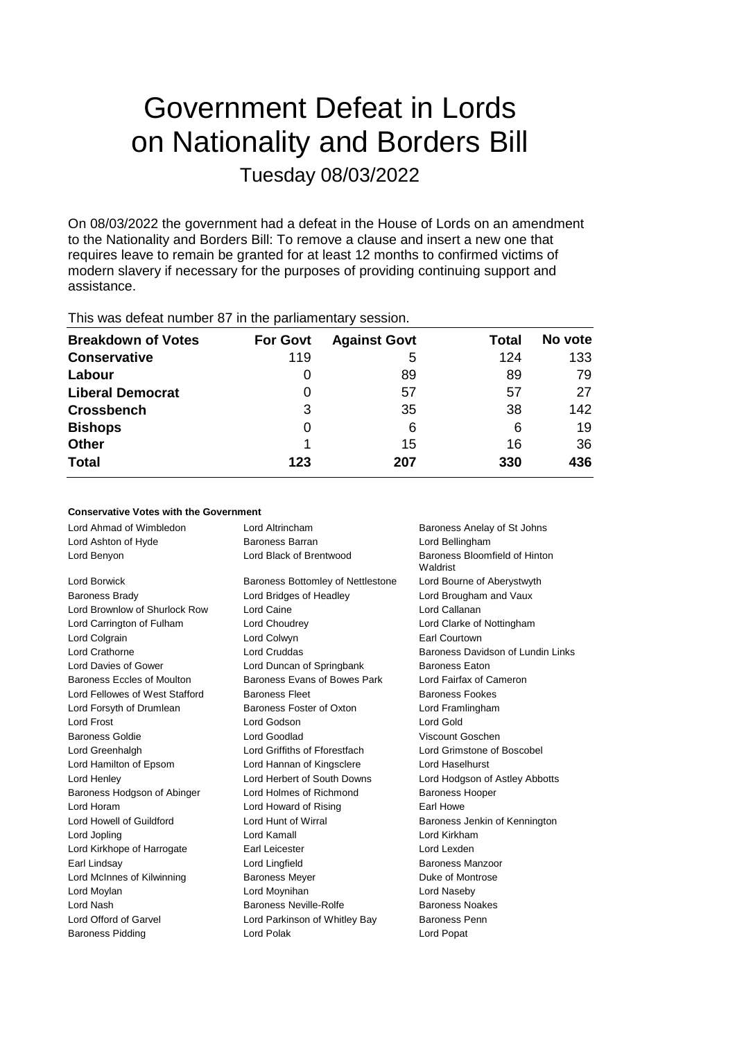# Government Defeat in Lords on Nationality and Borders Bill Tuesday 08/03/2022

On 08/03/2022 the government had a defeat in the House of Lords on an amendment to the Nationality and Borders Bill: To remove a clause and insert a new one that requires leave to remain be granted for at least 12 months to confirmed victims of modern slavery if necessary for the purposes of providing continuing support and assistance.

This was defeat number 87 in the parliamentary session.

| <b>Breakdown of Votes</b> | <b>For Govt</b> | <b>Against Govt</b> | Total | No vote |
|---------------------------|-----------------|---------------------|-------|---------|
| <b>Conservative</b>       | 119             | 5                   | 124   | 133     |
| Labour                    | O               | 89                  | 89    | 79      |
| <b>Liberal Democrat</b>   | 0               | 57                  | 57    | 27      |
| <b>Crossbench</b>         | 3               | 35                  | 38    | 142     |
| <b>Bishops</b>            | 0               | 6                   | 6     | 19      |
| <b>Other</b>              |                 | 15                  | 16    | 36      |
| <b>Total</b>              | 123             | 207                 | 330   | 436     |

### **Conservative Votes with the Government**

| Lord Ahmad of Wimbledon        | Lord Altrincham                   | Baroness Anelay of St Johns               |  |
|--------------------------------|-----------------------------------|-------------------------------------------|--|
| Lord Ashton of Hyde            | <b>Baroness Barran</b>            | Lord Bellingham                           |  |
| Lord Benyon                    | Lord Black of Brentwood           | Baroness Bloomfield of Hinton<br>Waldrist |  |
| Lord Borwick                   | Baroness Bottomley of Nettlestone | Lord Bourne of Aberystwyth                |  |
| <b>Baroness Brady</b>          | Lord Bridges of Headley           | Lord Brougham and Vaux                    |  |
| Lord Brownlow of Shurlock Row  | Lord Caine                        | Lord Callanan                             |  |
| Lord Carrington of Fulham      | Lord Choudrey                     | Lord Clarke of Nottingham                 |  |
| Lord Colgrain                  | Lord Colwyn                       | Earl Courtown                             |  |
| Lord Crathorne                 | <b>Lord Cruddas</b>               | Baroness Davidson of Lundin Links         |  |
| Lord Davies of Gower           | Lord Duncan of Springbank         | <b>Baroness Eaton</b>                     |  |
| Baroness Eccles of Moulton     | Baroness Evans of Bowes Park      | Lord Fairfax of Cameron                   |  |
| Lord Fellowes of West Stafford | <b>Baroness Fleet</b>             | <b>Baroness Fookes</b>                    |  |
| Lord Forsyth of Drumlean       | Baroness Foster of Oxton          | Lord Framlingham                          |  |
| Lord Frost                     | Lord Godson                       | Lord Gold                                 |  |
| Baroness Goldie                | Lord Goodlad                      | Viscount Goschen                          |  |
| Lord Greenhalgh                | Lord Griffiths of Fforestfach     | Lord Grimstone of Boscobel                |  |
| Lord Hamilton of Epsom         | Lord Hannan of Kingsclere         | Lord Haselhurst                           |  |
| Lord Henley                    | Lord Herbert of South Downs       | Lord Hodgson of Astley Abbotts            |  |
| Baroness Hodgson of Abinger    | Lord Holmes of Richmond           | <b>Baroness Hooper</b>                    |  |
| Lord Horam                     | Lord Howard of Rising             | Earl Howe                                 |  |
| Lord Howell of Guildford       | Lord Hunt of Wirral               | Baroness Jenkin of Kennington             |  |
| Lord Jopling                   | Lord Kamall                       | Lord Kirkham                              |  |
| Lord Kirkhope of Harrogate     | Earl Leicester                    | Lord Lexden                               |  |
| Earl Lindsay                   | Lord Lingfield                    | Baroness Manzoor                          |  |
| Lord McInnes of Kilwinning     | <b>Baroness Meyer</b>             | Duke of Montrose                          |  |
| Lord Moylan                    | Lord Moynihan                     | Lord Naseby                               |  |
| Lord Nash                      | <b>Baroness Neville-Rolfe</b>     | <b>Baroness Noakes</b>                    |  |
| Lord Offord of Garvel          | Lord Parkinson of Whitley Bay     | <b>Baroness Penn</b>                      |  |
| <b>Baroness Pidding</b>        | Lord Polak                        | Lord Popat                                |  |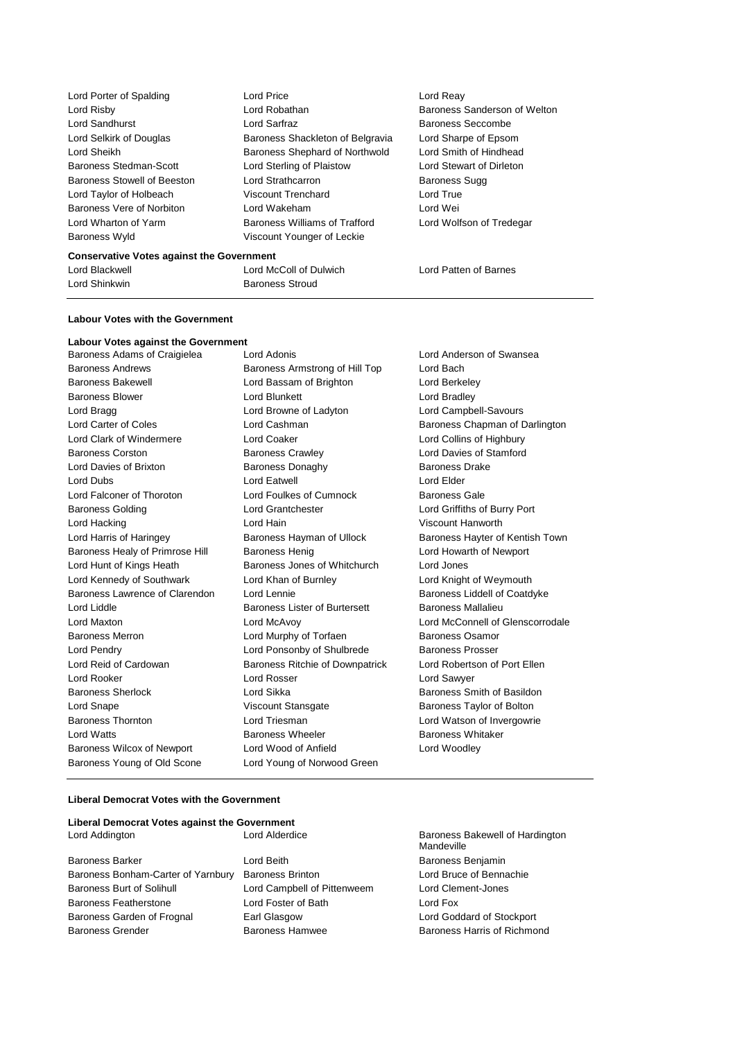Lord Porter of Spalding **Lord Price** Lord Price **Lord Reay** Baroness Wyld Viscount Younger of Leckie

Lord Risby **Lord Robathan** Baroness Sanderson of Welton Lord Sandhurst **Lord Sarfraz Lord Sarfraz** Baroness Seccombe Lord Selkirk of Douglas Baroness Shackleton of Belgravia Lord Sharpe of Epsom Lord Sheikh Baroness Shephard of Northwold Lord Smith of Hindhead Baroness Stedman-Scott Lord Sterling of Plaistow Lord Stewart of Dirleton Baroness Stowell of Beeston Lord Strathcarron **Baroness Sugg** Lord Taylor of Holbeach Viscount Trenchard Lord True Baroness Vere of Norbiton Lord Wakeham Lord Wei Lord Wharton of Yarm Baroness Williams of Trafford Lord Wolfson of Tredegar

#### **Conservative Votes against the Government**

Lord Blackwell Lord McColl of Dulwich Lord Patten of Barnes Lord Shinkwin **Baroness** Stroud

#### **Labour Votes with the Government**

**Labour Votes against the Government** Baroness Adams of Craigielea Lord Adonis Lord Anderson of Swansea Baroness Andrews **Baroness Armstrong of Hill Top** Lord Bach Baroness Bakewell Lord Bassam of Brighton Lord Berkeley Baroness Blower **Lord Blunkett** Lord Bradley **Lord Bradley** Lord Bragg Lord Browne of Ladyton Lord Campbell-Savours Lord Carter of Coles **Lord Cashman Lord Cashman** Baroness Chapman of Darlington Lord Clark of Windermere **Lord Coaker** Lord Coaker **Lord Coaker** Lord Collins of Highbury Baroness Corston Baroness Crawley Lord Davies of Stamford Lord Davies of Brixton **Baroness Donaghy** Baroness Davies Drake Lord Dubs Lord Eatwell Lord Elder Lord Falconer of Thoroton Lord Foulkes of Cumnock Baroness Gale Baroness Golding Lord Grantchester Lord Griffiths of Burry Port Lord Hacking Lord Hain Viscount Hanworth Lord Harris of Haringey **Baroness Hayman of Ullock** Baroness Hayter of Kentish Town Baroness Healy of Primrose Hill Baroness Henig Lord Howarth of Newport Lord Hunt of Kings Heath Baroness Jones of Whitchurch Lord Jones Lord Kennedy of Southwark Lord Khan of Burnley Lord Knight of Weymouth Baroness Lawrence of Clarendon Lord Lennie Baroness Liddell of Coatdyke Lord Liddle Baroness Lister of Burtersett Baroness Mallalieu Lord Maxton Lord McAvoy Lord McConnell of Glenscorrodale Baroness Merron **Example 2** Lord Murphy of Torfaen **Baroness Osamor** Lord Pendry Cord Ponsonby of Shulbrede Baroness Prosser<br>
Lord Reid of Cardowan Baroness Ritchie of Downpatrick Lord Robertson of Lord Rooker Lord Rosser Lord Sawyer Baroness Sherlock **Lord Sikka Lord Sikka** Baroness Smith of Basildon Lord Snape Viscount Stansgate Baroness Taylor of Bolton Baroness Thornton Lord Triesman Lord Watson of Invergowrie Lord Watts **Baroness Wheeler** Baroness Wheeler **Baroness Whitaker** Baroness Wilcox of Newport Lord Wood of Anfield Lord Woodley Baroness Young of Old Scone Lord Young of Norwood Green

Baroness Ritchie of Downpatrick Lord Robertson of Port Ellen

#### **Liberal Democrat Votes with the Government**

| Liberal Democrat Votes against the Government |                             |                              |
|-----------------------------------------------|-----------------------------|------------------------------|
| Lord Addington                                | Lord Alderdice              | <b>Baroness</b><br>Mandevill |
| <b>Baroness Barker</b>                        | Lord Beith                  | <b>Baroness</b>              |
| Baroness Bonham-Carter of Yarnbury            | <b>Baroness Brinton</b>     | Lord Brud                    |
| <b>Baroness Burt of Solihull</b>              | Lord Campbell of Pittenweem | Lord Cler                    |
| <b>Baroness Featherstone</b>                  | Lord Foster of Bath         | Lord Fox                     |

Baroness Bakewell of Hardington Mandeville Baroness Benjamin Lord Bruce of Bennachie em Lord Clement-Jones Baroness Garden of Frognal Earl Glasgow Lord Goddard of Stockport Baroness Grender Baroness Hamwee Baroness Harris of Richmond